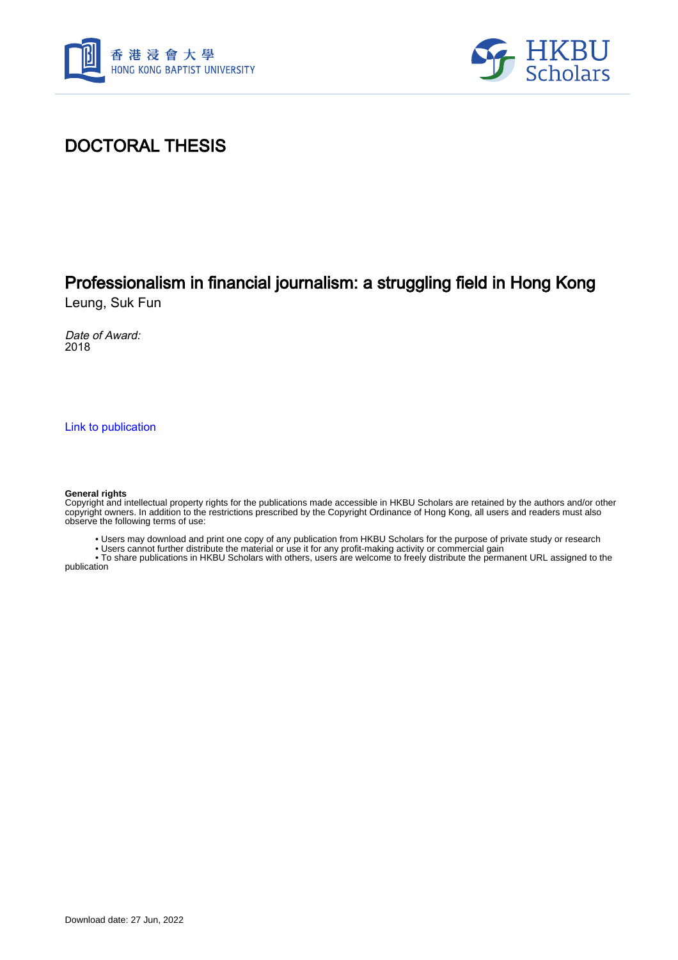



## DOCTORAL THESIS

# Professionalism in financial journalism: a struggling field in Hong Kong

Leung, Suk Fun

Date of Award: 2018

[Link to publication](https://scholars.hkbu.edu.hk/en/studentTheses/ef8b3633-489a-4621-823a-03c569d791f7)

#### **General rights**

Copyright and intellectual property rights for the publications made accessible in HKBU Scholars are retained by the authors and/or other copyright owners. In addition to the restrictions prescribed by the Copyright Ordinance of Hong Kong, all users and readers must also observe the following terms of use:

• Users may download and print one copy of any publication from HKBU Scholars for the purpose of private study or research

• Users cannot further distribute the material or use it for any profit-making activity or commercial gain

 • To share publications in HKBU Scholars with others, users are welcome to freely distribute the permanent URL assigned to the publication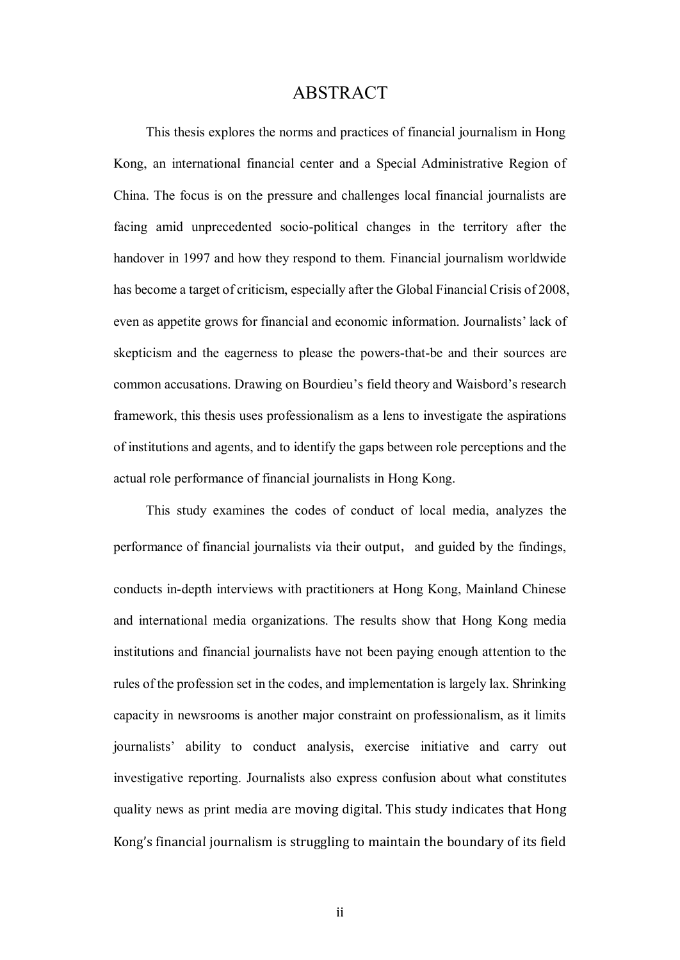### ABSTRACT

This thesis explores the norms and practices of financial journalism in Hong Kong, an international financial center and a Special Administrative Region of China. The focus is on the pressure and challenges local financial journalists are facing amid unprecedented socio-political changes in the territory after the handover in 1997 and how they respond to them. Financial journalism worldwide has become a target of criticism, especially after the Global Financial Crisis of 2008, even as appetite grows for financial and economic information. Journalists' lack of skepticism and the eagerness to please the powers-that-be and their sources are common accusations. Drawing on Bourdieu's field theory and Waisbord's research framework, this thesis uses professionalism as a lens to investigate the aspirations of institutions and agents, and to identify the gaps between role perceptions and the actual role performance of financial journalists in Hong Kong.

This study examines the codes of conduct of local media, analyzes the performance of financial journalists via their output, and guided by the findings, conducts in-depth interviews with practitioners at Hong Kong, Mainland Chinese and international media organizations. The results show that Hong Kong media institutions and financial journalists have not been paying enough attention to the rules of the profession set in the codes, and implementation is largely lax. Shrinking capacity in newsrooms is another major constraint on professionalism, as it limits journalists' ability to conduct analysis, exercise initiative and carry out investigative reporting. Journalists also express confusion about what constitutes quality news as print media are moving digital. This study indicates that Hong Kong's financial journalism is struggling to maintain the boundary of its field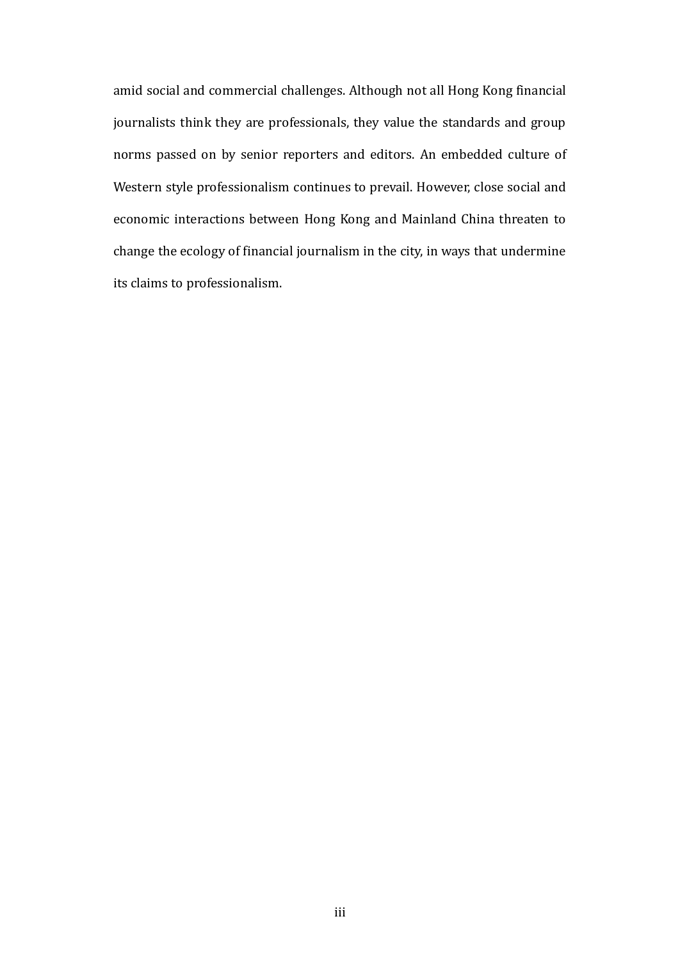amid social and commercial challenges. Although not all Hong Kong financial journalists think they are professionals, they value the standards and group norms passed on by senior reporters and editors. An embedded culture of Western style professionalism continues to prevail. However, close social and economic interactions between Hong Kong and Mainland China threaten to change the ecology of financial journalism in the city, in ways that undermine its claims to professionalism.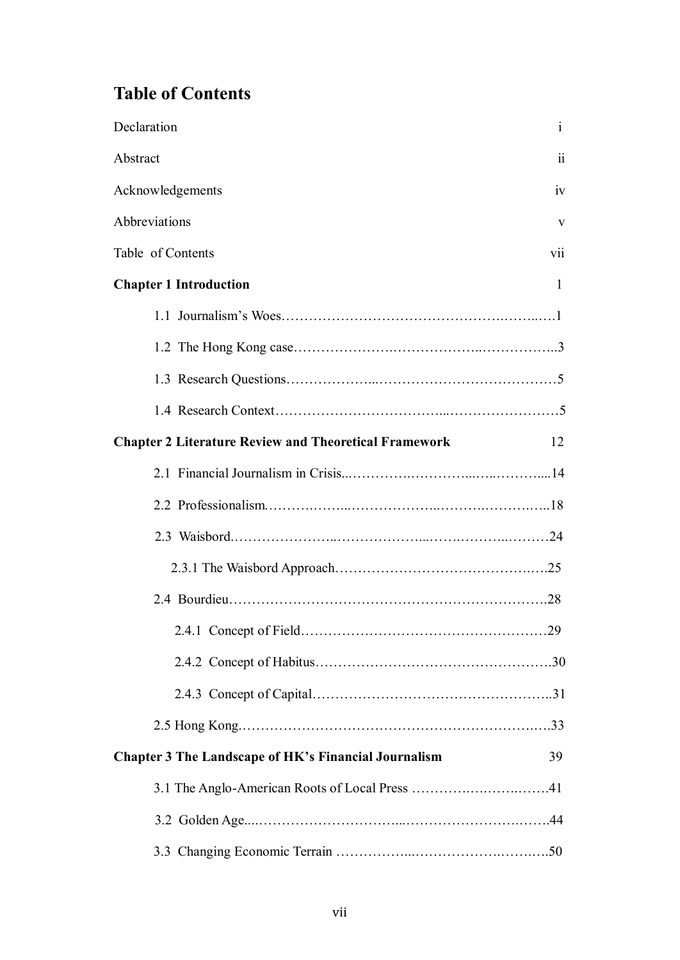# **Table of Contents**

| Declaration                                                  | i                   |
|--------------------------------------------------------------|---------------------|
| Abstract                                                     | $\ddot{\mathbf{i}}$ |
| Acknowledgements                                             | iv                  |
| Abbreviations                                                | V                   |
| Table of Contents                                            | vii                 |
| <b>Chapter 1 Introduction</b>                                | 1                   |
|                                                              |                     |
|                                                              |                     |
|                                                              |                     |
|                                                              |                     |
| <b>Chapter 2 Literature Review and Theoretical Framework</b> | 12                  |
|                                                              |                     |
|                                                              |                     |
|                                                              |                     |
|                                                              |                     |
|                                                              |                     |
|                                                              |                     |
|                                                              |                     |
|                                                              |                     |
|                                                              |                     |
| <b>Chapter 3 The Landscape of HK's Financial Journalism</b>  | 39                  |
| 3.1 The Anglo-American Roots of Local Press 41               |                     |
|                                                              |                     |
|                                                              |                     |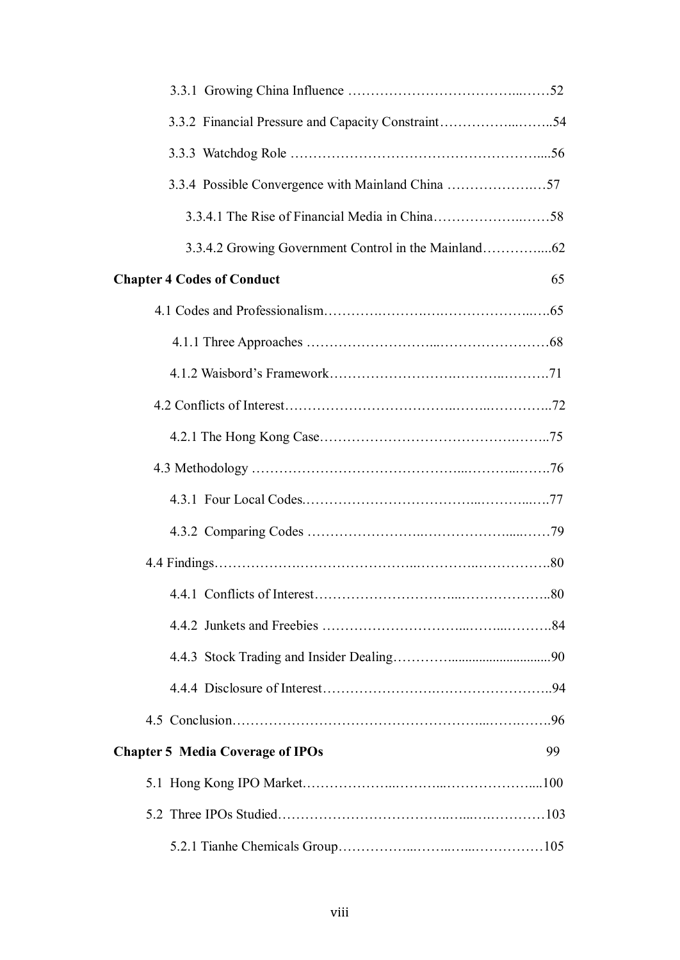| 3.3.2 Financial Pressure and Capacity Constraint54 |    |
|----------------------------------------------------|----|
|                                                    |    |
| 3.3.4 Possible Convergence with Mainland China 57  |    |
|                                                    |    |
|                                                    |    |
| <b>Chapter 4 Codes of Conduct</b>                  | 65 |
|                                                    |    |
|                                                    |    |
|                                                    |    |
|                                                    |    |
|                                                    |    |
|                                                    |    |
|                                                    |    |
|                                                    |    |
|                                                    |    |
|                                                    |    |
|                                                    |    |
|                                                    |    |
|                                                    |    |
|                                                    |    |
| <b>Chapter 5 Media Coverage of IPOs</b>            | 99 |
|                                                    |    |
|                                                    |    |
|                                                    |    |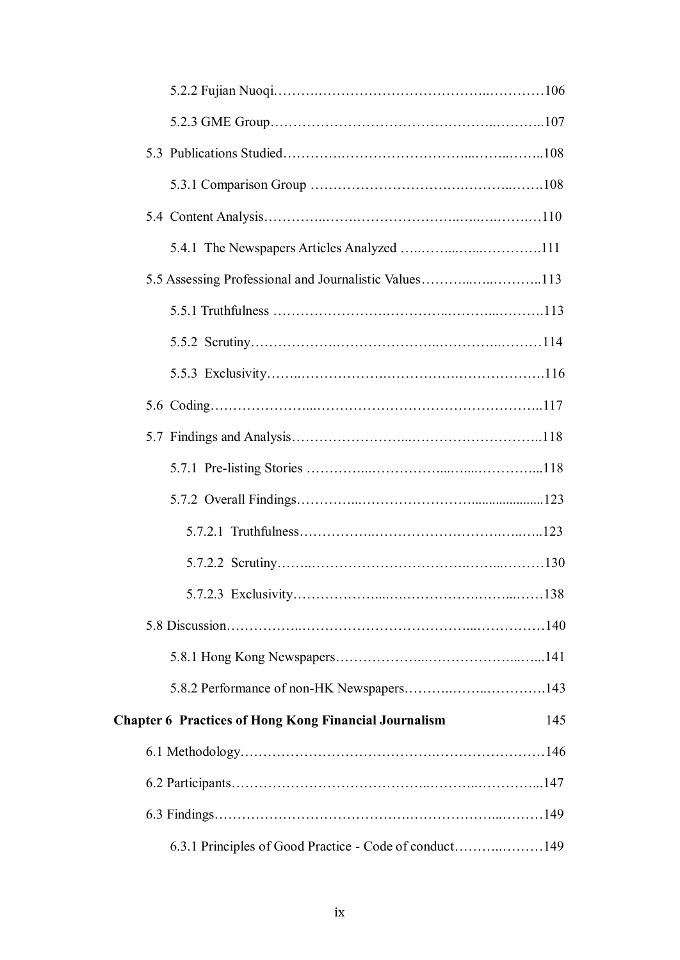| 5.5 Assessing Professional and Journalistic Values113        |     |
|--------------------------------------------------------------|-----|
|                                                              |     |
|                                                              |     |
|                                                              |     |
|                                                              |     |
|                                                              |     |
|                                                              |     |
|                                                              |     |
|                                                              |     |
|                                                              |     |
|                                                              |     |
|                                                              |     |
|                                                              |     |
| 5.8.2 Performance of non-HK Newspapers143                    |     |
| <b>Chapter 6 Practices of Hong Kong Financial Journalism</b> | 145 |
|                                                              |     |
|                                                              |     |
|                                                              |     |
| 6.3.1 Principles of Good Practice - Code of conduct149       |     |